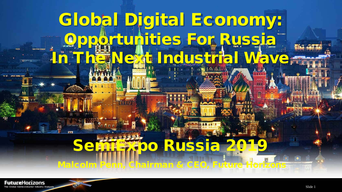# Global Digital Economy: Opportunities For Russia **In The Next Industrial Wave**

# **SEMIOO RUSSIA**

Malcolm Penn, Chairman & CEO, Future Horizo

FutureHorizons al Semiconductor Industry Analysts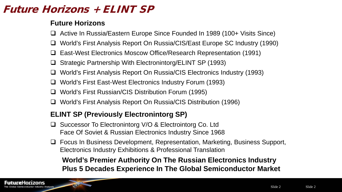# Future Horizons + ELINT SP

#### **Future Horizons**

- Active In Russia/Eastern Europe Since Founded In 1989 (100+ Visits Since)
- World's First Analysis Report On Russia/CIS/East Europe SC Industry (1990)
- East-West Electronics Moscow Office/Research Representation (1991)
- Strategic Partnership With Electronintorg/ELINT SP (1993)
- World's First Analysis Report On Russia/CIS Electronics Industry (1993)
- World's First East-West Electronics Industry Forum (1993)
- World's First Russian/CIS Distribution Forum (1995)
- World's First Analysis Report On Russia/CIS Distribution (1996)

#### **ELINT SP (Previously Electronintorg SP)**

- □ Successor To Electronintorg V/O & Electrointorg Co. Ltd Face Of Soviet & Russian Electronics Industry Since 1968
- □ Focus In Business Development, Representation, Marketing, Business Support, Electronics Industry Exhibitions & Professional Translation

**World's Premier Authority On The Russian Electronics Industry Plus 5 Decades Experience In The Global Semiconductor Market**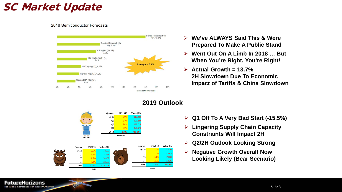# SC Market Update

#### 2018 Semiconductor Forecasts



- **We've ALWAYS Said This & Were Prepared To Make A Public Stand**
- **Went Out On A Limb In 2018 … But When You're Right, You're Right!**
- **Actual Growth = 13.7% 2H Slowdown Due To Economic Impact of Tariffs & China Slowdown**



#### **2019 Outlook**

- **Q1 Off To A Very Bad Start (-15.5%)**
- **Lingering Supply Chain Capacity Constraints Will Impact 2H**
- **Q2/2H Outlook Looking Strong**
- **Negative Growth Overall Now Looking Likely (Bear Scenario)**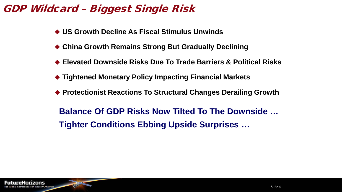# GDP Wildcard – Biggest Single Risk

- **US Growth Decline As Fiscal Stimulus Unwinds**
- ◆ China Growth Remains Strong But Gradually Declining
- **Elevated Downside Risks Due To Trade Barriers & Political Risks**
- **Tightened Monetary Policy Impacting Financial Markets**
- ◆ Protectionist Reactions To Structural Changes Derailing Growth

**Balance Of GDP Risks Now Tilted To The Downside … Tighter Conditions Ebbing Upside Surprises …**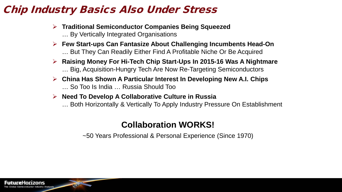# Chip Industry Basics Also Under Stress

- **Traditional Semiconductor Companies Being Squeezed** … By Vertically Integrated Organisations
- **Few Start-ups Can Fantasize About Challenging Incumbents Head-On** … But They Can Readily Either Find A Profitable Niche Or Be Acquired
- **Raising Money For Hi-Tech Chip Start-Ups In 2015-16 Was A Nightmare** … Big, Acquisition-Hungry Tech Are Now Re-Targeting Semiconductors
- **China Has Shown A Particular Interest In Developing New A.I. Chips** … So Too Is India … Russia Should Too
- **Need To Develop A Collaborative Culture in Russia**
	- … Both Horizontally & Vertically To Apply Industry Pressure On Establishment

### **Collaboration WORKS!**

~50 Years Professional & Personal Experience (Since 1970)

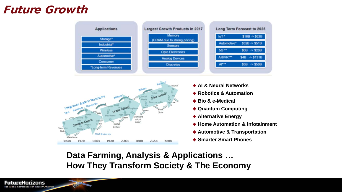# Future Growth





- **AI & Neural Networks**
- **Exercice & Automation**
- ◆ Bio & e-Medical
- **Quantum Computing**
- ◆ Alternative Energy
- ◆ Home Automation & Infotainment
- ◆ Automotive & Transportation
- **Smarter Smart Phones**

**Data Farming, Analysis & Applications … How They Transform Society & The Economy**

O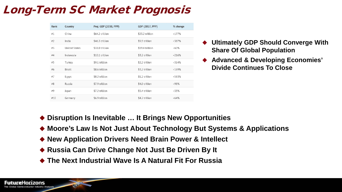# Long-Term SC Market Prognosis

| Rank | Country              | Proj. GDP (2030, PPP) | GDP (2017, PPP) | % change |
|------|----------------------|-----------------------|-----------------|----------|
| #1   | China                | \$64.2 trillion       | \$23.2 trillion | $+177%$  |
| #2   | India                | \$46.3 trillion       | \$9.5 trillion  | +387%    |
| #3   | <b>United States</b> | \$31.0 trillion       | \$19.4 trillion | $+60%$   |
| #4   | Indonesia            | \$10.1 trillion       | \$3.2 trillion  | $+216%$  |
| #5   | Turkey               | \$9.1 trillion        | \$2.2 trillion  | +314%    |
| #6   | Brazil               | \$8.6 trillion        | \$3.2 trillion  | $+169%$  |
| #7   | Egypt                | \$8.2 trillion        | \$1.2 trillion  | +583%    |
| #8   | Russia               | \$7.9 trillion        | \$4.0 trillion  | +98%     |
| #9   | Japan                | \$7.2 trillion        | \$5.4 trillion  | +33%     |
| #10  | Germany              | \$6.9 trillion        | \$4.2 trillion  | $+64%$   |

- **Ultimately GDP Should Converge With Share Of Global Population**
- **Advanced & Developing Economies' Divide Continues To Close**

- ◆ Disruption Is Inevitable ... It Brings New Opportunities
- ◆ Moore's Law Is Not Just About Technology But Systems & Applications
- ◆ New Application Drivers Need Brain Power & Intellect
- ◆ Russia Can Drive Change Not Just Be Driven By It
- **The Next Industrial Wave Is A Natural Fit For Russia**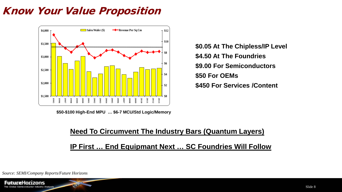# Know Your Value Proposition



**\$50-\$100 High-End MPU … \$6-7 MCU/Std Logic/Memory**

**\$0.05 At The Chipless/IP Level \$4.50 At The Foundries \$9.00 For Semiconductors \$50 For OEMs \$450 For Services /Content**

# **Need To Circumvent The Industry Bars (Quantum Layers) IP First … End Equipmant Next … SC Foundries Will Follow**

*Source: SEMI/Company Reports/Future Horizons*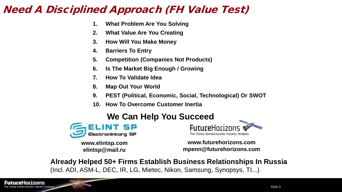# Need A Disciplined Approach (FH Value Test)

- **1. What Problem Are You Solving**
- **2. What Value Are You Creating**
- **3. How Will You Make Money**
- **4. Barriers To Entry**
- **5. Competition (Companies Not Products)**
- **6. Is The Market Big Enough / Growing**
- **7. How To Validate Idea**
- **8. Map Out Your World**
- **9. PEST (Political, Economic, Social, Technological) Or SWOT**
- **10. How To Overcome Customer Inertia**

### **We Can Help You Succeed**



**www.elintsp.com elintsp@mail.ru**

O



**www.futurehorizons.com mpenn@futurehorizons.com**

**Already Helped 50+ Firms Establish Business Relationships In Russia** (Incl. ADI, ASM-L, DEC, IR, LG, Mietec, Nikon, Samsung, Synopsys, TI...)